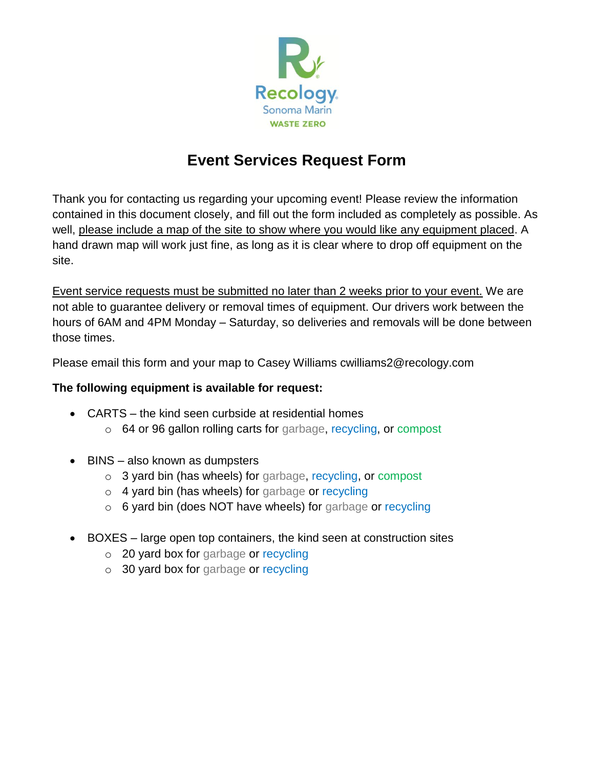

## **Event Services Request Form**

Thank you for contacting us regarding your upcoming event! Please review the information contained in this document closely, and fill out the form included as completely as possible. As well, please include a map of the site to show where you would like any equipment placed. A hand drawn map will work just fine, as long as it is clear where to drop off equipment on the site.

Event service requests must be submitted no later than 2 weeks prior to your event. We are not able to guarantee delivery or removal times of equipment. Our drivers work between the hours of 6AM and 4PM Monday – Saturday, so deliveries and removals will be done between those times.

Please email this form and your map to Casey Williams cwilliams2@recology.com

## **The following equipment is available for request:**

- CARTS the kind seen curbside at residential homes
	- o 64 or 96 gallon rolling carts for garbage, recycling, or compost
- BINS also known as dumpsters
	- o 3 yard bin (has wheels) for garbage, recycling, or compost
	- o 4 yard bin (has wheels) for garbage or recycling
	- o 6 yard bin (does NOT have wheels) for garbage or recycling
- BOXES large open top containers, the kind seen at construction sites
	- o 20 yard box for garbage or recycling
	- o 30 yard box for garbage or recycling